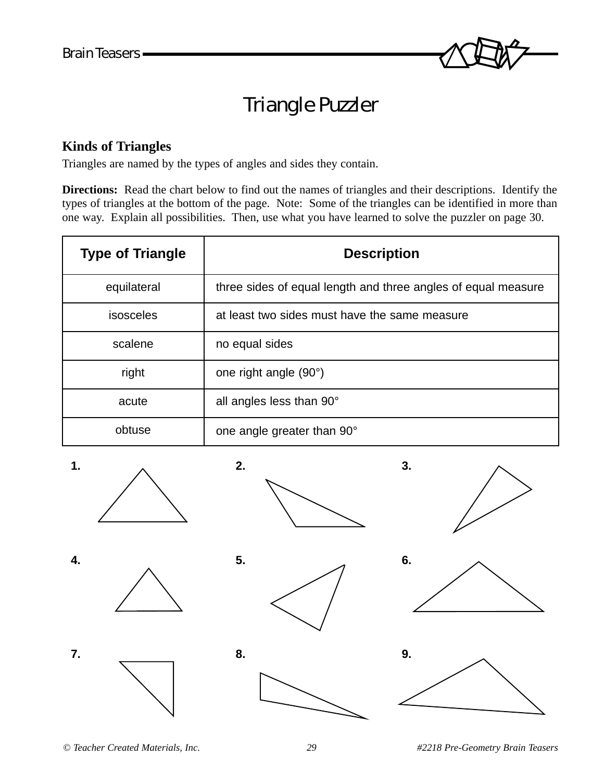

## Triangle Puzzler

## **Kinds of Triangles**

Triangles are named by the types of angles and sides they contain.

**Directions:** Read the chart below to find out the names of triangles and their descriptions. Identify the types of triangles at the bottom of the page. Note: Some of the triangles can be identified in more than one way. Explain all possibilities. Then, use what you have learned to solve the puzzler on page 30.

| <b>Type of Triangle</b> | <b>Description</b>                                            |
|-------------------------|---------------------------------------------------------------|
| equilateral             | three sides of equal length and three angles of equal measure |
| isosceles               | at least two sides must have the same measure                 |
| scalene                 | no equal sides                                                |
| right                   | one right angle (90°)                                         |
| acute                   | all angles less than 90°                                      |
| obtuse                  | one angle greater than 90°                                    |